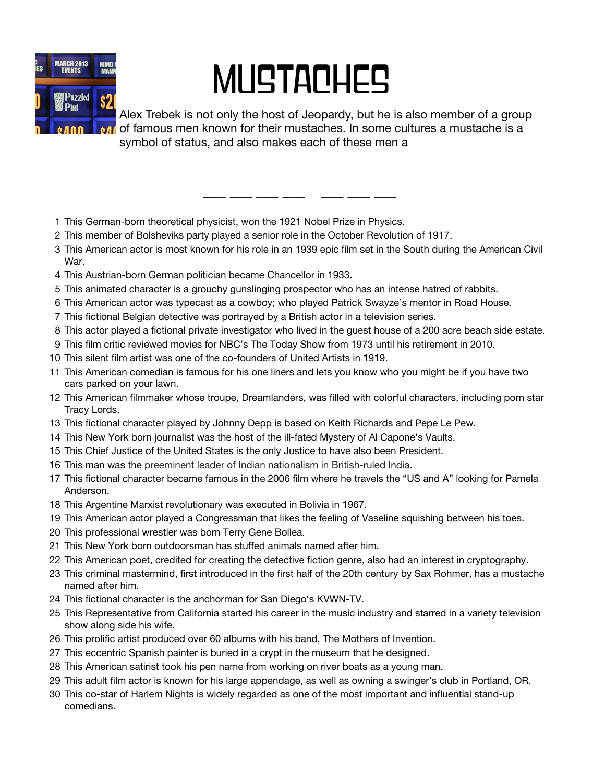

## **MUSTACHES**

Alex Trebek is not only the host of Jeopardy, but he is also member of a group of famous men known for their mustaches. In some cultures a mustache is a symbol of status, and also makes each of these men a

- This German-born theoretical physicist, won the 1921 Nobel Prize in Physics.
- This member of Bolsheviks party played a senior role in the October Revolution of 1917.
- This American actor is most known for his role in an 1939 epic film set in the South during the American Civil War.

\_\_\_ \_\_\_ \_\_\_ \_\_\_ \_\_\_ \_\_\_ \_\_\_

- This Austrian-born German politician became Chancellor in 1933.
- This animated character is a grouchy gunslinging prospector who has an intense hatred of rabbits.
- This American actor was typecast as a cowboy; who played Patrick Swayze's mentor in Road House.
- This fictional Belgian detective was portrayed by a British actor in a television series.
- This actor played a fictional private investigator who lived in the guest house of a 200 acre beach side estate.
- This film critic reviewed movies for NBC's The Today Show from 1973 until his retirement in 2010.
- This silent film artist was one of the co-founders of United Artists in 1919.
- This American comedian is famous for his one liners and lets you know who you might be if you have two cars parked on your lawn.
- This American filmmaker whose troupe, Dreamlanders, was filled with colorful characters, including porn star Tracy Lords.
- This fictional character played by Johnny Depp is based on Keith Richards and Pepe Le Pew.
- This New York born journalist was the host of the ill-fated Mystery of Al Capone's Vaults.
- This Chief Justice of the United States is the only Justice to have also been President.
- This man was the preeminent leader of Indian nationalism in British-ruled India.
- This fictional character became famous in the 2006 film where he travels the "US and A" looking for Pamela Anderson.
- This Argentine Marxist revolutionary was executed in Bolivia in 1967.
- This American actor played a Congressman that likes the feeling of Vaseline squishing between his toes.
- This professional wrestler was born Terry Gene Bollea.
- This New York born outdoorsman has stuffed animals named after him.
- This American poet, credited for creating the detective fiction genre, also had an interest in cryptography.
- This criminal mastermind, first introduced in the first half of the 20th century by Sax Rohmer, has a mustache named after him.
- This fictional character is the anchorman for San Diego's KVWN-TV.
- This Representative from California started his career in the music industry and starred in a variety television show along side his wife.
- This prolific artist produced over 60 albums with his band, The Mothers of Invention.
- This eccentric Spanish painter is buried in a crypt in the museum that he designed.
- This American satirist took his pen name from working on river boats as a young man.
- This adult film actor is known for his large appendage, as well as owning a swinger's club in Portland, OR.
- This co-star of Harlem Nights is widely regarded as one of the most important and influential stand-up comedians.